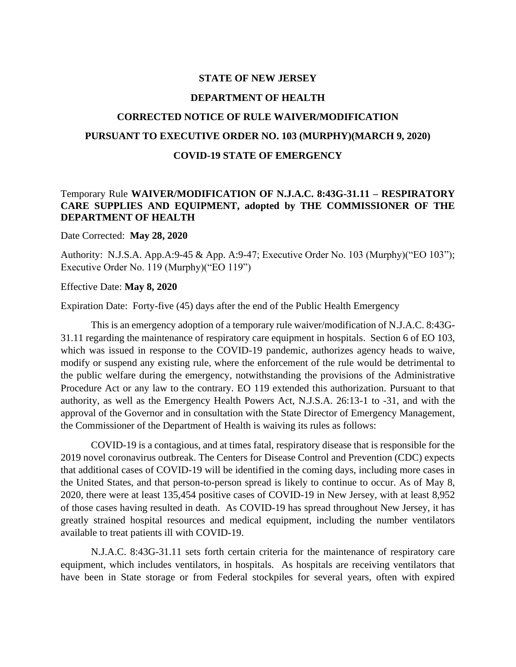### **STATE OF NEW JERSEY**

## **DEPARTMENT OF HEALTH**

# **CORRECTED NOTICE OF RULE WAIVER/MODIFICATION PURSUANT TO EXECUTIVE ORDER NO. 103 (MURPHY)(MARCH 9, 2020) COVID-19 STATE OF EMERGENCY**

## Temporary Rule **WAIVER/MODIFICATION OF N.J.A.C. 8:43G-31.11 – RESPIRATORY CARE SUPPLIES AND EQUIPMENT, adopted by THE COMMISSIONER OF THE DEPARTMENT OF HEALTH**

Date Corrected: **May 28, 2020**

Authority: N.J.S.A. App.A:9-45 & App. A:9-47; Executive Order No. 103 (Murphy)("EO 103"); Executive Order No. 119 (Murphy)("EO 119")

### Effective Date: **May 8, 2020**

Expiration Date: Forty-five (45) days after the end of the Public Health Emergency

This is an emergency adoption of a temporary rule waiver/modification of N.J.A.C. 8:43G-31.11 regarding the maintenance of respiratory care equipment in hospitals. Section 6 of EO 103, which was issued in response to the COVID-19 pandemic, authorizes agency heads to waive, modify or suspend any existing rule, where the enforcement of the rule would be detrimental to the public welfare during the emergency, notwithstanding the provisions of the Administrative Procedure Act or any law to the contrary. EO 119 extended this authorization. Pursuant to that authority, as well as the Emergency Health Powers Act, N.J.S.A. 26:13-1 to -31, and with the approval of the Governor and in consultation with the State Director of Emergency Management, the Commissioner of the Department of Health is waiving its rules as follows:

COVID-19 is a contagious, and at times fatal, respiratory disease that is responsible for the 2019 novel coronavirus outbreak. The Centers for Disease Control and Prevention (CDC) expects that additional cases of COVID-19 will be identified in the coming days, including more cases in the United States, and that person-to-person spread is likely to continue to occur. As of May 8, 2020, there were at least 135,454 positive cases of COVID-19 in New Jersey, with at least 8,952 of those cases having resulted in death. As COVID-19 has spread throughout New Jersey, it has greatly strained hospital resources and medical equipment, including the number ventilators available to treat patients ill with COVID-19.

N.J.A.C. 8:43G-31.11 sets forth certain criteria for the maintenance of respiratory care equipment, which includes ventilators, in hospitals. As hospitals are receiving ventilators that have been in State storage or from Federal stockpiles for several years, often with expired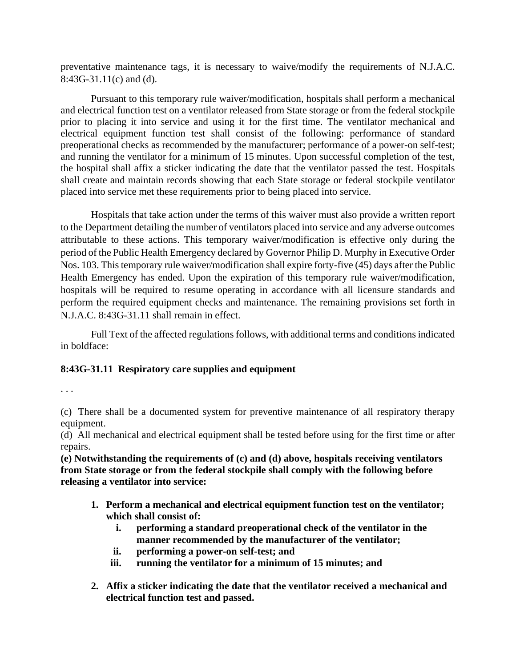preventative maintenance tags, it is necessary to waive/modify the requirements of N.J.A.C. 8:43G-31.11(c) and (d).

Pursuant to this temporary rule waiver/modification, hospitals shall perform a mechanical and electrical function test on a ventilator released from State storage or from the federal stockpile prior to placing it into service and using it for the first time. The ventilator mechanical and electrical equipment function test shall consist of the following: performance of standard preoperational checks as recommended by the manufacturer; performance of a power-on self-test; and running the ventilator for a minimum of 15 minutes. Upon successful completion of the test, the hospital shall affix a sticker indicating the date that the ventilator passed the test. Hospitals shall create and maintain records showing that each State storage or federal stockpile ventilator placed into service met these requirements prior to being placed into service.

Hospitals that take action under the terms of this waiver must also provide a written report to the Department detailing the number of ventilators placed into service and any adverse outcomes attributable to these actions. This temporary waiver/modification is effective only during the period of the Public Health Emergency declared by Governor Philip D. Murphy in Executive Order Nos. 103. This temporary rule waiver/modification shall expire forty-five (45) days after the Public Health Emergency has ended. Upon the expiration of this temporary rule waiver/modification, hospitals will be required to resume operating in accordance with all licensure standards and perform the required equipment checks and maintenance. The remaining provisions set forth in N.J.A.C. 8:43G-31.11 shall remain in effect.

Full Text of the affected regulations follows, with additional terms and conditions indicated in boldface:

## **8:43G-31.11 Respiratory care supplies and equipment**

. . .

(c) There shall be a documented system for preventive maintenance of all respiratory therapy equipment.

(d) All mechanical and electrical equipment shall be tested before using for the first time or after repairs.

**(e) Notwithstanding the requirements of (c) and (d) above, hospitals receiving ventilators from State storage or from the federal stockpile shall comply with the following before releasing a ventilator into service:**

- **1. Perform a mechanical and electrical equipment function test on the ventilator; which shall consist of:**
	- **i. performing a standard preoperational check of the ventilator in the manner recommended by the manufacturer of the ventilator;**
	- **ii. performing a power-on self-test; and**
	- **iii. running the ventilator for a minimum of 15 minutes; and**
- **2. Affix a sticker indicating the date that the ventilator received a mechanical and electrical function test and passed.**